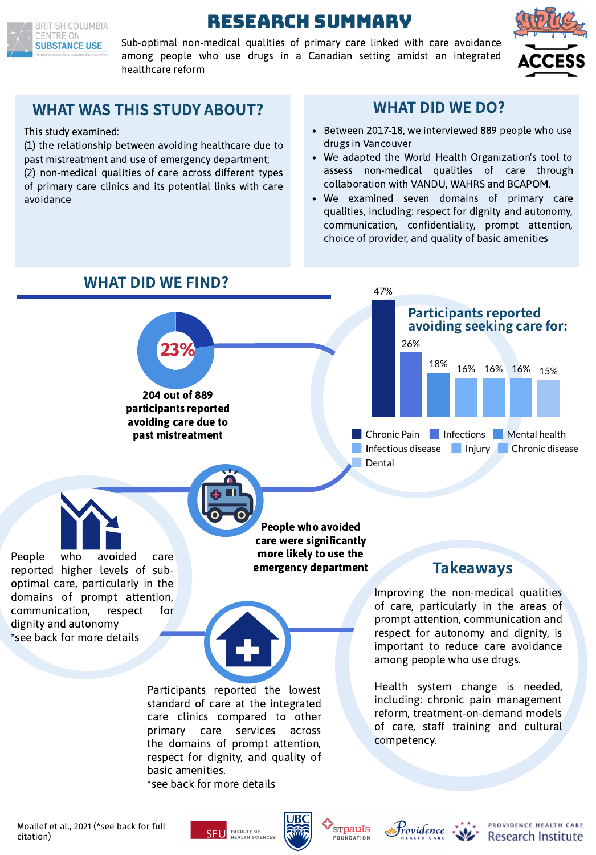

# Research SUMMARY

Sub-optimal non-medical qualities of primary care linked with care avoidance among people who use drugs in a Canadian setting amidst an integrated healthcare reform





## WHAT WAS THIS STUDY ABOUT? WHAT DID WE DO?

This study examined:

(1) the relationship between avoiding healthcare due to past mistreatment and use of emergency department; (2) non-medical qualities of care across different types of primary care clinics and its potential links with care avoidance

- Between 2017-18, we interviewed 889 people who use drugs in Vancouver
- We adapted the World Health Organization's tool to assess non-medical qualities of care through collaboration with VANDU, WAHRS and BCAPOM.
- We examined seven domains of primary care qualities, including: respect for dignity and autonomy, communication, confidentiality, prompt attention, choice of provider, and quality of basic amenities



## WHAT DID WE FIND?

People who avoided care were significantly more likely to use the emergency department



domains of prompt attention, communication, respect for dignity and autonomy \*see back for more details

> Participants reported the lowest standard of care at the integrated care clinics compared to other primary care services across the domains of prompt attention, respect for dignity, and quality of basic amenities.

\*see back for more details

## Takeaways

Improving the non-medical qualities of care, particularly in the areas of prompt attention, communication and respect for autonomy and dignity, is important to reduce care avoidance among people who use drugs.

Health system change is needed, including: chronic pain management reform, treatment-on-demand models of care, staff training and cultural competency.

Moallef et al., 2021 (\*see back for full citation)









**Example Seconds** PROVIDENCE HEALTH CARE